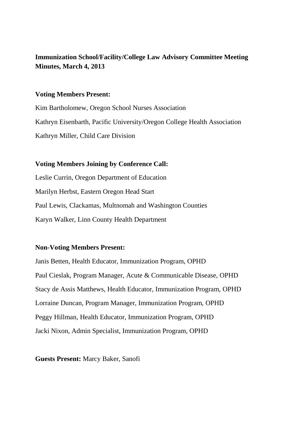# **Immunization School/Facility/College Law Advisory Committee Meeting Minutes, March 4, 2013**

### **Voting Members Present:**

Kim Bartholomew, Oregon School Nurses Association Kathryn Eisenbarth, Pacific University/Oregon College Health Association Kathryn Miller, Child Care Division

# **Voting Members Joining by Conference Call:**

Leslie Currin, Oregon Department of Education Marilyn Herbst, Eastern Oregon Head Start Paul Lewis, Clackamas, Multnomah and Washington Counties Karyn Walker, Linn County Health Department

# **Non-Voting Members Present:**

Janis Betten, Health Educator, Immunization Program, OPHD Paul Cieslak, Program Manager, Acute & Communicable Disease, OPHD Stacy de Assis Matthews, Health Educator, Immunization Program, OPHD Lorraine Duncan, Program Manager, Immunization Program, OPHD Peggy Hillman, Health Educator, Immunization Program, OPHD Jacki Nixon, Admin Specialist, Immunization Program, OPHD

### **Guests Present:** Marcy Baker, Sanofi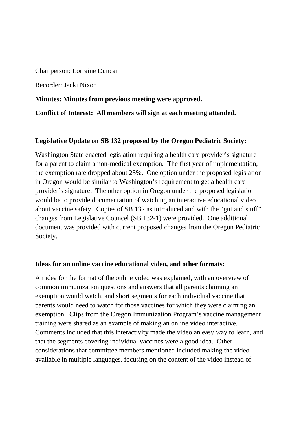Chairperson: Lorraine Duncan

Recorder: Jacki Nixon

**Minutes: Minutes from previous meeting were approved.** 

**Conflict of Interest: All members will sign at each meeting attended.** 

## **Legislative Update on SB 132 proposed by the Oregon Pediatric Society:**

Washington State enacted legislation requiring a health care provider's signature for a parent to claim a non-medical exemption. The first year of implementation, the exemption rate dropped about 25%. One option under the proposed legislation in Oregon would be similar to Washington's requirement to get a health care provider's signature. The other option in Oregon under the proposed legislation would be to provide documentation of watching an interactive educational video about vaccine safety. Copies of SB 132 as introduced and with the "gut and stuff" changes from Legislative Councel (SB 132-1) were provided. One additional document was provided with current proposed changes from the Oregon Pediatric Society.

### **Ideas for an online vaccine educational video, and other formats:**

An idea for the format of the online video was explained, with an overview of common immunization questions and answers that all parents claiming an exemption would watch, and short segments for each individual vaccine that parents would need to watch for those vaccines for which they were claiming an exemption. Clips from the Oregon Immunization Program's vaccine management training were shared as an example of making an online video interactive. Comments included that this interactivity made the video an easy way to learn, and that the segments covering individual vaccines were a good idea. Other considerations that committee members mentioned included making the video available in multiple languages, focusing on the content of the video instead of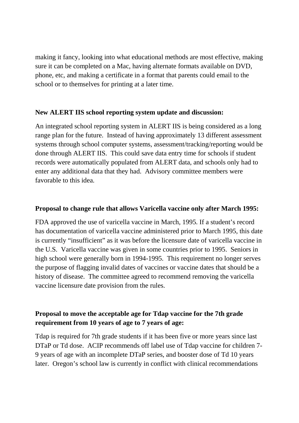making it fancy, looking into what educational methods are most effective, making sure it can be completed on a Mac, having alternate formats available on DVD, phone, etc, and making a certificate in a format that parents could email to the school or to themselves for printing at a later time.

# **New ALERT IIS school reporting system update and discussion:**

An integrated school reporting system in ALERT IIS is being considered as a long range plan for the future. Instead of having approximately 13 different assessment systems through school computer systems, assessment/tracking/reporting would be done through ALERT IIS. This could save data entry time for schools if student records were automatically populated from ALERT data, and schools only had to enter any additional data that they had. Advisory committee members were favorable to this idea.

### **Proposal to change rule that allows Varicella vaccine only after March 1995:**

FDA approved the use of varicella vaccine in March, 1995. If a student's record has documentation of varicella vaccine administered prior to March 1995, this date is currently "insufficient" as it was before the licensure date of varicella vaccine in the U.S. Varicella vaccine was given in some countries prior to 1995. Seniors in high school were generally born in 1994-1995. This requirement no longer serves the purpose of flagging invalid dates of vaccines or vaccine dates that should be a history of disease. The committee agreed to recommend removing the varicella vaccine licensure date provision from the rules.

# **Proposal to move the acceptable age for Tdap vaccine for the 7th grade requirement from 10 years of age to 7 years of age:**

Tdap is required for 7th grade students if it has been five or more years since last DTaP or Td dose. ACIP recommends off label use of Tdap vaccine for children 7- 9 years of age with an incomplete DTaP series, and booster dose of Td 10 years later. Oregon's school law is currently in conflict with clinical recommendations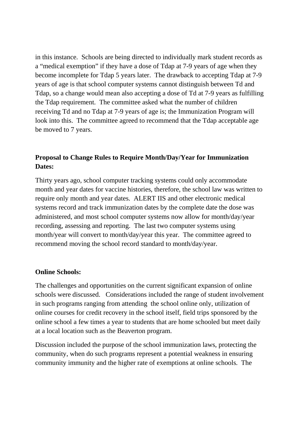in this instance. Schools are being directed to individually mark student records as a "medical exemption" if they have a dose of Tdap at 7-9 years of age when they become incomplete for Tdap 5 years later. The drawback to accepting Tdap at 7-9 years of age is that school computer systems cannot distinguish between Td and Tdap, so a change would mean also accepting a dose of Td at 7-9 years as fulfilling the Tdap requirement. The committee asked what the number of children receiving Td and no Tdap at 7-9 years of age is; the Immunization Program will look into this. The committee agreed to recommend that the Tdap acceptable age be moved to 7 years.

# **Proposal to Change Rules to Require Month/Day/Year for Immunization Dates:**

Thirty years ago, school computer tracking systems could only accommodate month and year dates for vaccine histories, therefore, the school law was written to require only month and year dates. ALERT IIS and other electronic medical systems record and track immunization dates by the complete date the dose was administered, and most school computer systems now allow for month/day/year recording, assessing and reporting. The last two computer systems using month/year will convert to month/day/year this year. The committee agreed to recommend moving the school record standard to month/day/year.

### **Online Schools:**

The challenges and opportunities on the current significant expansion of online schools were discussed. Considerations included the range of student involvement in such programs ranging from attending the school online only, utilization of online courses for credit recovery in the school itself, field trips sponsored by the online school a few times a year to students that are home schooled but meet daily at a local location such as the Beaverton program.

Discussion included the purpose of the school immunization laws, protecting the community, when do such programs represent a potential weakness in ensuring community immunity and the higher rate of exemptions at online schools. The